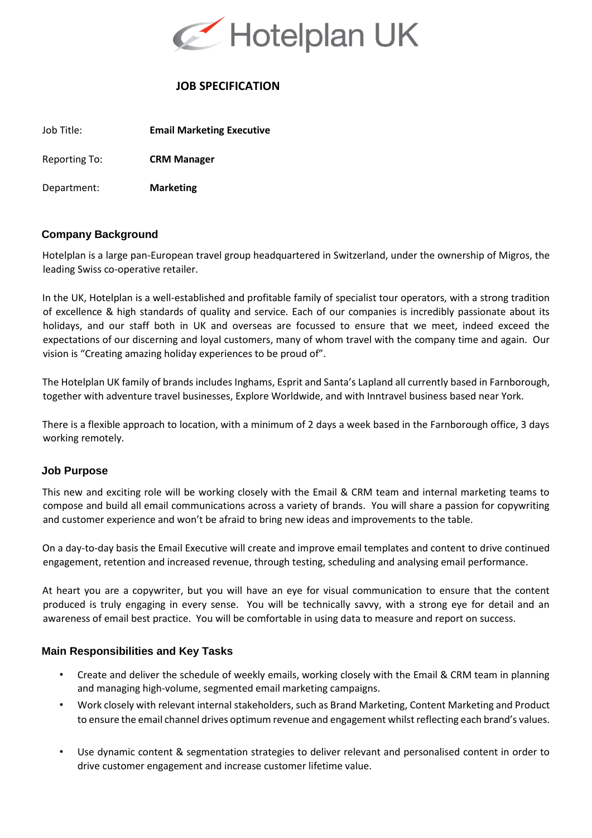

# **JOB SPECIFICATION**

Job Title: **Email Marketing Executive** 

Reporting To: **CRM Manager** 

Department: **Marketing** 

# **Company Background**

Hotelplan is a large pan-European travel group headquartered in Switzerland, under the ownership of Migros, the leading Swiss co-operative retailer.

In the UK, Hotelplan is a well-established and profitable family of specialist tour operators, with a strong tradition of excellence & high standards of quality and service. Each of our companies is incredibly passionate about its holidays, and our staff both in UK and overseas are focussed to ensure that we meet, indeed exceed the expectations of our discerning and loyal customers, many of whom travel with the company time and again. Our vision is "Creating amazing holiday experiences to be proud of".

The Hotelplan UK family of brands includes Inghams, Esprit and Santa's Lapland all currently based in Farnborough, together with adventure travel businesses, Explore Worldwide, and with Inntravel business based near York.

There is a flexible approach to location, with a minimum of 2 days a week based in the Farnborough office, 3 days working remotely.

### **Job Purpose**

This new and exciting role will be working closely with the Email & CRM team and internal marketing teams to compose and build all email communications across a variety of brands. You will share a passion for copywriting and customer experience and won't be afraid to bring new ideas and improvements to the table.

On a day-to-day basis the Email Executive will create and improve email templates and content to drive continued engagement, retention and increased revenue, through testing, scheduling and analysing email performance.

At heart you are a copywriter, but you will have an eye for visual communication to ensure that the content produced is truly engaging in every sense. You will be technically savvy, with a strong eye for detail and an awareness of email best practice. You will be comfortable in using data to measure and report on success.

# **Main Responsibilities and Key Tasks**

- Create and deliver the schedule of weekly emails, working closely with the Email & CRM team in planning and managing high-volume, segmented email marketing campaigns.
- Work closely with relevant internal stakeholders, such as Brand Marketing, Content Marketing and Product to ensure the email channel drives optimum revenue and engagement whilst reflecting each brand's values.
- Use dynamic content & segmentation strategies to deliver relevant and personalised content in order to drive customer engagement and increase customer lifetime value.